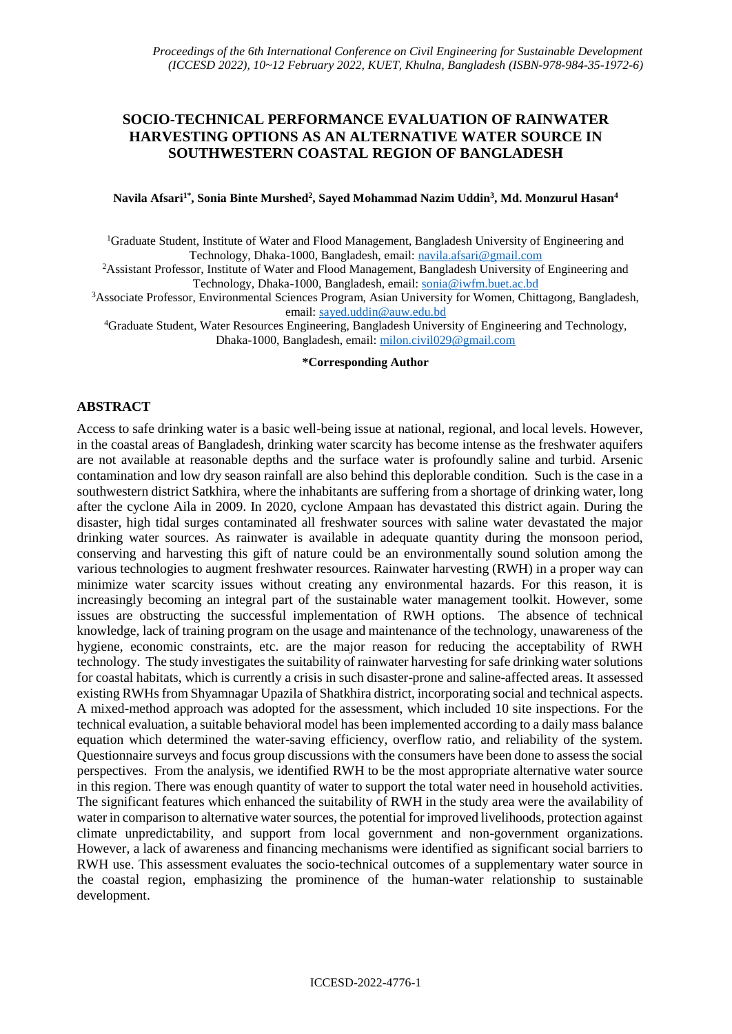# **SOCIO-TECHNICAL PERFORMANCE EVALUATION OF RAINWATER HARVESTING OPTIONS AS AN ALTERNATIVE WATER SOURCE IN SOUTHWESTERN COASTAL REGION OF BANGLADESH**

### **Navila Afsari1\*, Sonia Binte Murshed<sup>2</sup> , Sayed Mohammad Nazim Uddin<sup>3</sup> , Md. Monzurul Hasan<sup>4</sup>**

<sup>1</sup>Graduate Student, Institute of Water and Flood Management, Bangladesh University of Engineering and Technology, Dhaka-1000, Bangladesh, email: [navila.afsari@gmail.com](mailto:navila.afsari@gmail.com)

<sup>2</sup>Assistant Professor, Institute of Water and Flood Management, Bangladesh University of Engineering and Technology, Dhaka-1000, Bangladesh, email: [sonia@iwfm.buet.ac.bd](mailto:sonia@iwfm.buet.ac.bd)

<sup>3</sup>Associate Professor, Environmental Sciences Program, Asian University for Women, Chittagong, Bangladesh, email: [sayed.uddin@auw.edu.bd](mailto:sayed.uddin@auw.edu.bd)

<sup>4</sup>Graduate Student, Water Resources Engineering, Bangladesh University of Engineering and Technology, Dhaka-1000, Bangladesh, email: [milon.civil029@gmail.com](mailto:milon.civil029@gmail.com)

#### **\*Corresponding Author**

### **ABSTRACT**

Access to safe drinking water is a basic well-being issue at national, regional, and local levels. However, in the coastal areas of Bangladesh, drinking water scarcity has become intense as the freshwater aquifers are not available at reasonable depths and the surface water is profoundly saline and turbid. Arsenic contamination and low dry season rainfall are also behind this deplorable condition. Such is the case in a southwestern district Satkhira, where the inhabitants are suffering from a shortage of drinking water, long after the cyclone Aila in 2009. In 2020, cyclone Ampaan has devastated this district again. During the disaster, high tidal surges contaminated all freshwater sources with saline water devastated the major drinking water sources. As rainwater is available in adequate quantity during the monsoon period, conserving and harvesting this gift of nature could be an environmentally sound solution among the various technologies to augment freshwater resources. Rainwater harvesting (RWH) in a proper way can minimize water scarcity issues without creating any environmental hazards. For this reason, it is increasingly becoming an integral part of the sustainable water management toolkit. However, some issues are obstructing the successful implementation of RWH options. The absence of technical knowledge, lack of training program on the usage and maintenance of the technology, unawareness of the hygiene, economic constraints, etc. are the major reason for reducing the acceptability of RWH technology. The study investigates the suitability of rainwater harvesting for safe drinking water solutions for coastal habitats, which is currently a crisis in such disaster-prone and saline-affected areas. It assessed existing RWHs from Shyamnagar Upazila of Shatkhira district, incorporating social and technical aspects. A mixed-method approach was adopted for the assessment, which included 10 site inspections. For the technical evaluation, a suitable behavioral model has been implemented according to a daily mass balance equation which determined the water-saving efficiency, overflow ratio, and reliability of the system. Questionnaire surveys and focus group discussions with the consumers have been done to assess the social perspectives. From the analysis, we identified RWH to be the most appropriate alternative water source in this region. There was enough quantity of water to support the total water need in household activities. The significant features which enhanced the suitability of RWH in the study area were the availability of water in comparison to alternative water sources, the potential for improved livelihoods, protection against climate unpredictability, and support from local government and non-government organizations. However, a lack of awareness and financing mechanisms were identified as significant social barriers to RWH use. This assessment evaluates the socio-technical outcomes of a supplementary water source in the coastal region, emphasizing the prominence of the human-water relationship to sustainable development.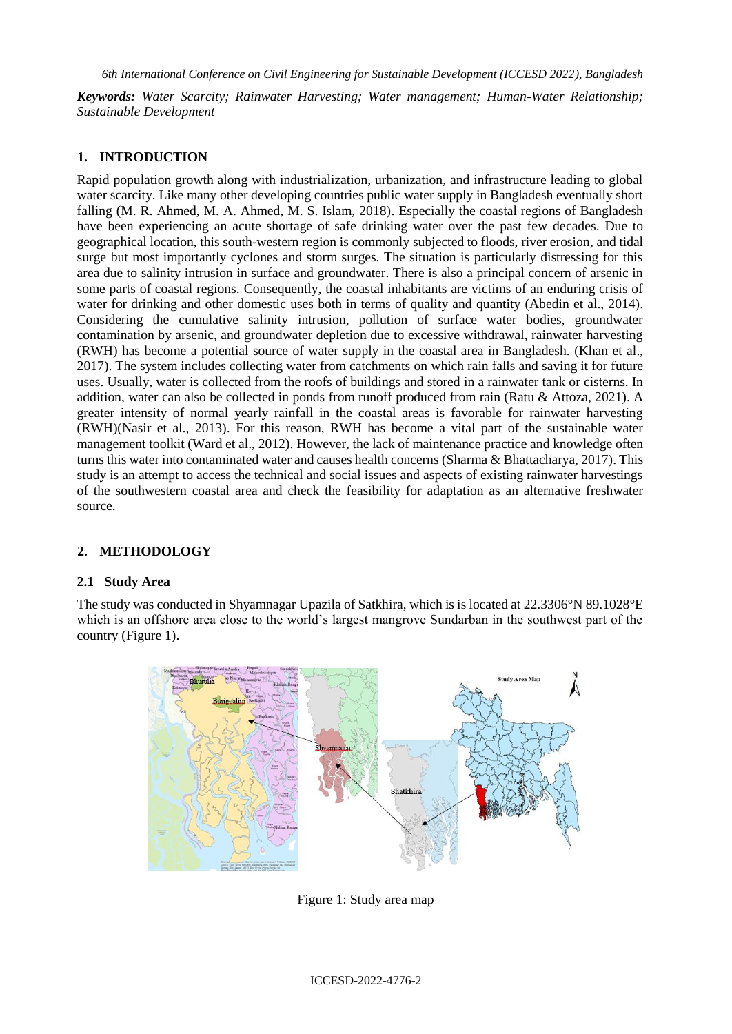*6th International Conference on Civil Engineering for Sustainable Development (ICCESD 2022), Bangladesh*

*Keywords: Water Scarcity; Rainwater Harvesting; Water management; Human-Water Relationship; Sustainable Development*

## **1. INTRODUCTION**

Rapid population growth along with industrialization, urbanization, and infrastructure leading to global water scarcity. Like many other developing countries public water supply in Bangladesh eventually short falling (M. R. Ahmed, M. A. Ahmed, M. S. Islam, 2018). Especially the coastal regions of Bangladesh have been experiencing an acute shortage of safe drinking water over the past few decades. Due to geographical location, this south-western region is commonly subjected to floods, river erosion, and tidal surge but most importantly cyclones and storm surges. The situation is particularly distressing for this area due to salinity intrusion in surface and groundwater. There is also a principal concern of arsenic in some parts of coastal regions. Consequently, the coastal inhabitants are victims of an enduring crisis of water for drinking and other domestic uses both in terms of quality and quantity (Abedin et al., 2014). Considering the cumulative salinity intrusion, pollution of surface water bodies, groundwater contamination by arsenic, and groundwater depletion due to excessive withdrawal, rainwater harvesting (RWH) has become a potential source of water supply in the coastal area in Bangladesh. (Khan et al., 2017). The system includes collecting water from catchments on which rain falls and saving it for future uses. Usually, water is collected from the roofs of buildings and stored in a rainwater tank or cisterns. In addition, water can also be collected in ponds from runoff produced from rain (Ratu & Attoza, 2021). A greater intensity of normal yearly rainfall in the coastal areas is favorable for rainwater harvesting (RWH)(Nasir et al., 2013). For this reason, RWH has become a vital part of the sustainable water management toolkit (Ward et al., 2012). However, the lack of maintenance practice and knowledge often turns this water into contaminated water and causes health concerns (Sharma & Bhattacharya, 2017). This study is an attempt to access the technical and social issues and aspects of existing rainwater harvestings of the southwestern coastal area and check the feasibility for adaptation as an alternative freshwater source.

# **2. METHODOLOGY**

### **2.1 Study Area**

The study was conducted in Shyamnagar Upazila of Satkhira, which is is located at [22.3306°N 89.1028°E](https://geohack.toolforge.org/geohack.php?pagename=Shyamnagar_Upazila¶ms=22.3306_N_89.1028_E_) which is an offshore area close to the world's largest mangrove Sundarban in the southwest part of the country (Figure 1).



Figure 1: Study area map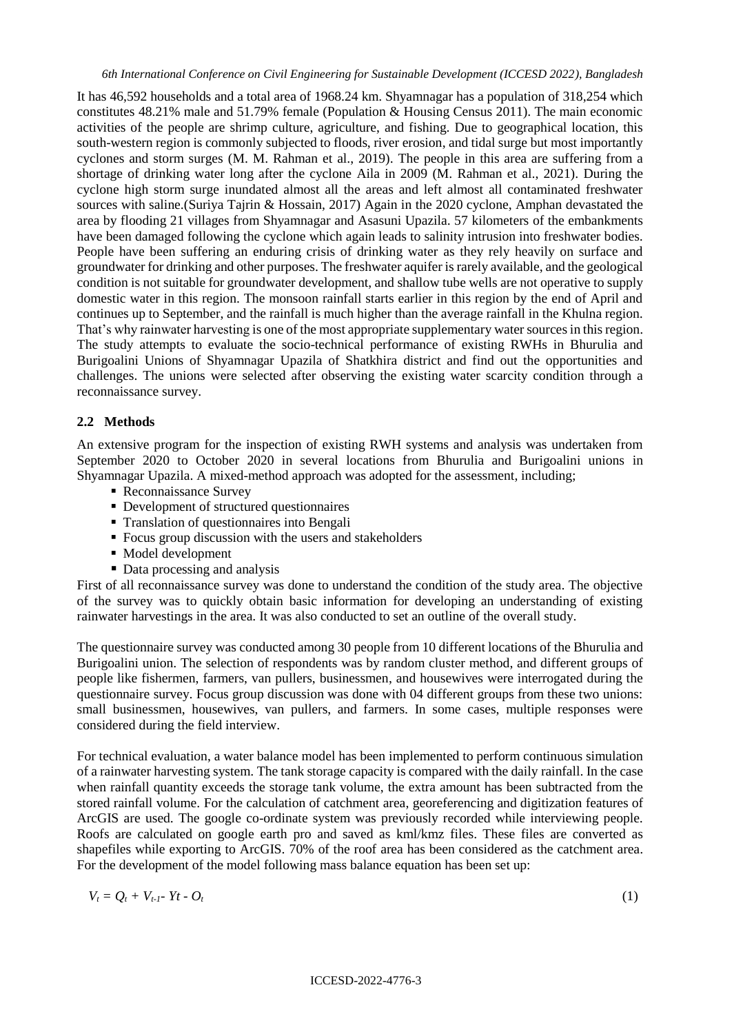It has 46,592 households and a total area of 1968.24 km. Shyamnagar has a population of 318,254 which constitutes 48.21% male and 51.79% female (Population & Housing Census 2011). The main economic activities of the people are shrimp culture, agriculture, and fishing. Due to geographical location, this south-western region is commonly subjected to floods, river erosion, and tidal surge but most importantly cyclones and storm surges (M. M. Rahman et al., 2019). The people in this area are suffering from a shortage of drinking water long after the cyclone Aila in 2009 (M. Rahman et al., 2021). During the cyclone high storm surge inundated almost all the areas and left almost all contaminated freshwater sources with saline.(Suriya Tajrin & Hossain, 2017) Again in the 2020 cyclone, Amphan devastated the area by flooding 21 villages from Shyamnagar and Asasuni Upazila. 57 kilometers of the embankments have been damaged following the cyclone which again leads to salinity intrusion into freshwater bodies. People have been suffering an enduring crisis of drinking water as they rely heavily on surface and groundwater for drinking and other purposes. The freshwater aquifer is rarely available, and the geological condition is not suitable for groundwater development, and shallow tube wells are not operative to supply domestic water in this region. The monsoon rainfall starts earlier in this region by the end of April and continues up to September, and the rainfall is much higher than the average rainfall in the Khulna region. That's why rainwater harvesting is one of the most appropriate supplementary water sources in this region. The study attempts to evaluate the socio-technical performance of existing RWHs in Bhurulia and Burigoalini Unions of Shyamnagar Upazila of Shatkhira district and find out the opportunities and challenges. The unions were selected after observing the existing water scarcity condition through a reconnaissance survey.

### **2.2 Methods**

An extensive program for the inspection of existing RWH systems and analysis was undertaken from September 2020 to October 2020 in several locations from Bhurulia and Burigoalini unions in Shyamnagar Upazila. A mixed-method approach was adopted for the assessment, including;

- Reconnaissance Survey
- Development of structured questionnaires
- Translation of questionnaires into Bengali
- Focus group discussion with the users and stakeholders
- Model development
- Data processing and analysis

First of all reconnaissance survey was done to understand the condition of the study area. The objective of the survey was to quickly obtain basic information for developing an understanding of existing rainwater harvestings in the area. It was also conducted to set an outline of the overall study.

The questionnaire survey was conducted among 30 people from 10 different locations of the Bhurulia and Burigoalini union. The selection of respondents was by random cluster method, and different groups of people like fishermen, farmers, van pullers, businessmen, and housewives were interrogated during the questionnaire survey. Focus group discussion was done with 04 different groups from these two unions: small businessmen, housewives, van pullers, and farmers. In some cases, multiple responses were considered during the field interview.

For technical evaluation, a water balance model has been implemented to perform continuous simulation of a rainwater harvesting system. The tank storage capacity is compared with the daily rainfall. In the case when rainfall quantity exceeds the storage tank volume, the extra amount has been subtracted from the stored rainfall volume. For the calculation of catchment area, georeferencing and digitization features of ArcGIS are used. The google co-ordinate system was previously recorded while interviewing people. Roofs are calculated on google earth pro and saved as kml/kmz files. These files are converted as shapefiles while exporting to ArcGIS. 70% of the roof area has been considered as the catchment area. For the development of the model following mass balance equation has been set up:

$$
V_t = Q_t + V_{t-1} - Yt - O_t \tag{1}
$$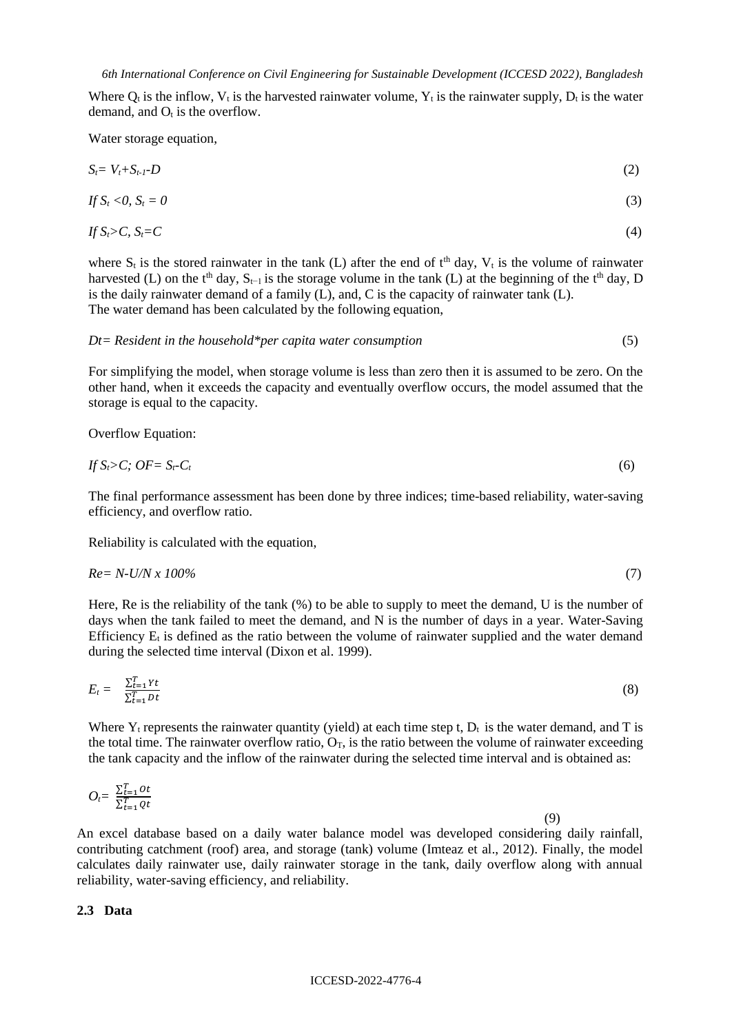*6th International Conference on Civil Engineering for Sustainable Development (ICCESD 2022), Bangladesh*

Where  $Q_t$  is the inflow,  $V_t$  is the harvested rainwater volume,  $Y_t$  is the rainwater supply,  $D_t$  is the water demand, and  $O_t$  is the overflow.

Water storage equation,

$$
S_t = V_t + S_{t-1} - D \tag{2}
$$

$$
If S_t < 0, S_t = 0 \tag{3}
$$

$$
If S_t > C, S_t = C \tag{4}
$$

where  $S_t$  is the stored rainwater in the tank (L) after the end of t<sup>th</sup> day,  $V_t$  is the volume of rainwater harvested (L) on the t<sup>th</sup> day, S<sub>t−1</sub> is the storage volume in the tank (L) at the beginning of the t<sup>th</sup> day, D is the daily rainwater demand of a family (L), and, C is the capacity of rainwater tank (L). The water demand has been calculated by the following equation,

### *Dt= Resident in the household\*per capita water consumption* (5)

For simplifying the model, when storage volume is less than zero then it is assumed to be zero. On the other hand, when it exceeds the capacity and eventually overflow occurs, the model assumed that the storage is equal to the capacity.

Overflow Equation:

$$
If S_t > C; \; OF = S_t - C_t \tag{6}
$$

The final performance assessment has been done by three indices; time-based reliability, water-saving efficiency, and overflow ratio.

Reliability is calculated with the equation,

$$
Re = N-U/N \times 100\% \tag{7}
$$

Here, Re is the reliability of the tank (%) to be able to supply to meet the demand, U is the number of days when the tank failed to meet the demand, and N is the number of days in a year. Water-Saving Efficiency  $E_t$  is defined as the ratio between the volume of rainwater supplied and the water demand during the selected time interval (Dixon et al. 1999).

$$
E_t = \frac{\sum_{t=1}^{T} Y_t}{\sum_{t=1}^{T} Dt}
$$
 (8)

Where  $Y_t$  represents the rainwater quantity (yield) at each time step t,  $D_t$  is the water demand, and T is the total time. The rainwater overflow ratio,  $O_T$ , is the ratio between the volume of rainwater exceeding the tank capacity and the inflow of the rainwater during the selected time interval and is obtained as:

$$
O_t = \frac{\sum_{t=1}^T ot}{\sum_{t=1}^T qt}
$$
\n
$$
(9)
$$

An excel database based on a daily water balance model was developed considering daily rainfall, contributing catchment (roof) area, and storage (tank) volume (Imteaz et al., 2012). Finally, the model calculates daily rainwater use, daily rainwater storage in the tank, daily overflow along with annual reliability, water-saving efficiency, and reliability.

### **2.3 Data**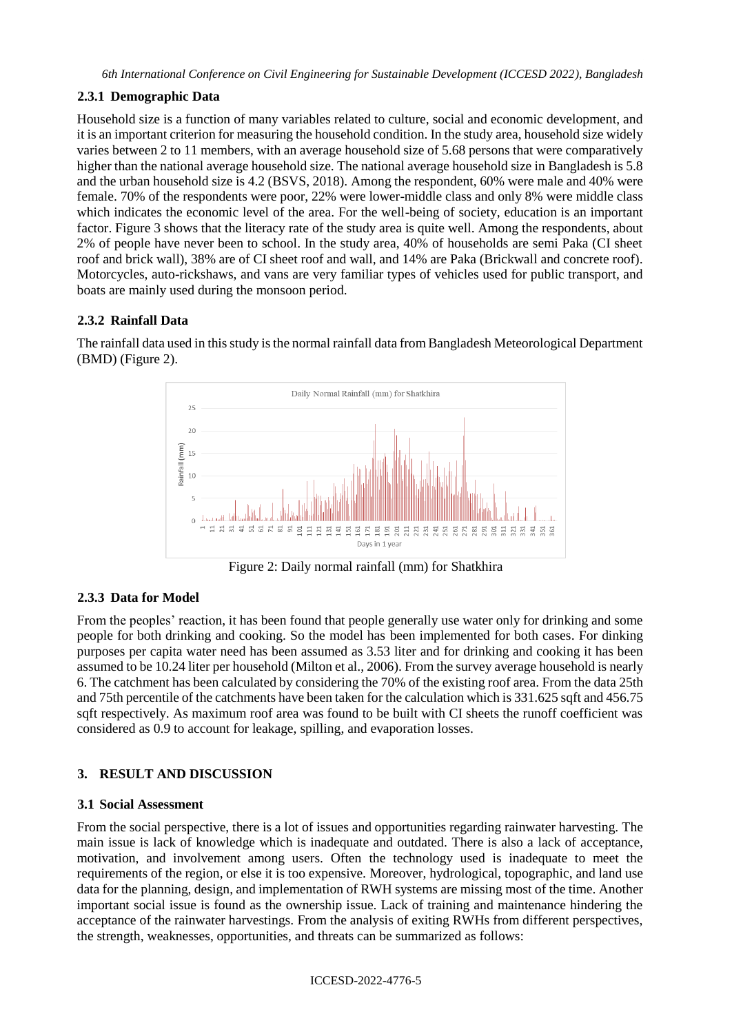*6th International Conference on Civil Engineering for Sustainable Development (ICCESD 2022), Bangladesh*

## **2.3.1 Demographic Data**

Household size is a function of many variables related to culture, social and economic development, and it is an important criterion for measuring the household condition. In the study area, household size widely varies between 2 to 11 members, with an average household size of 5.68 persons that were comparatively higher than the national average household size. The national average household size in Bangladesh is 5.8 and the urban household size is 4.2 (BSVS, 2018). Among the respondent, 60% were male and 40% were female. 70% of the respondents were poor, 22% were lower-middle class and only 8% were middle class which indicates the economic level of the area. For the well-being of society, education is an important factor. Figure 3 shows that the literacy rate of the study area is quite well. Among the respondents, about 2% of people have never been to school. In the study area, 40% of households are semi Paka (CI sheet roof and brick wall), 38% are of CI sheet roof and wall, and 14% are Paka (Brickwall and concrete roof). Motorcycles, auto-rickshaws, and vans are very familiar types of vehicles used for public transport, and boats are mainly used during the monsoon period.

# **2.3.2 Rainfall Data**

The rainfall data used in this study is the normal rainfall data from Bangladesh Meteorological Department (BMD) (Figure 2).



Figure 2: Daily normal rainfall (mm) for Shatkhira

## **2.3.3 Data for Model**

From the peoples' reaction, it has been found that people generally use water only for drinking and some people for both drinking and cooking. So the model has been implemented for both cases. For dinking purposes per capita water need has been assumed as 3.53 liter and for drinking and cooking it has been assumed to be 10.24 liter per household (Milton et al., 2006). From the survey average household is nearly 6. The catchment has been calculated by considering the 70% of the existing roof area. From the data 25th and 75th percentile of the catchments have been taken for the calculation which is 331.625 sqft and 456.75 sqft respectively. As maximum roof area was found to be built with CI sheets the runoff coefficient was considered as 0.9 to account for leakage, spilling, and evaporation losses.

## **3. RESULT AND DISCUSSION**

### **3.1 Social Assessment**

From the social perspective, there is a lot of issues and opportunities regarding rainwater harvesting. The main issue is lack of knowledge which is inadequate and outdated. There is also a lack of acceptance, motivation, and involvement among users. Often the technology used is inadequate to meet the requirements of the region, or else it is too expensive. Moreover, hydrological, topographic, and land use data for the planning, design, and implementation of RWH systems are missing most of the time. Another important social issue is found as the ownership issue. Lack of training and maintenance hindering the acceptance of the rainwater harvestings. From the analysis of exiting RWHs from different perspectives, the strength, weaknesses, opportunities, and threats can be summarized as follows: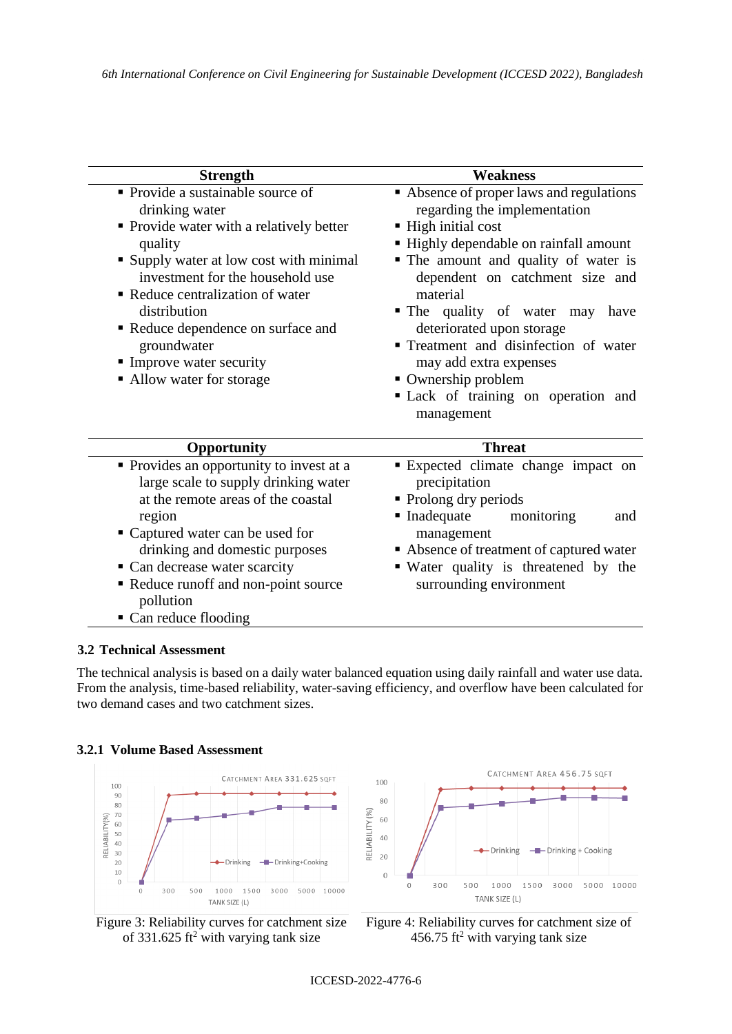| <b>Strength</b>                                                             | <b>Weakness</b>                                                         |
|-----------------------------------------------------------------------------|-------------------------------------------------------------------------|
| • Provide a sustainable source of                                           | • Absence of proper laws and regulations                                |
| drinking water                                                              | regarding the implementation                                            |
| • Provide water with a relatively better                                    | ■ High initial cost                                                     |
| quality                                                                     | - Highly dependable on rainfall amount                                  |
| • Supply water at low cost with minimal<br>investment for the household use | • The amount and quality of water is<br>dependent on catchment size and |
| Reduce centralization of water                                              | material                                                                |
| distribution                                                                | • The quality of water may have                                         |
| Reduce dependence on surface and                                            | deteriorated upon storage                                               |
| groundwater                                                                 | Treatment and disinfection of water                                     |
| • Improve water security                                                    | may add extra expenses                                                  |
| • Allow water for storage                                                   | • Ownership problem                                                     |
|                                                                             | Lack of training on operation and<br>management                         |
| Opportunity                                                                 | <b>Threat</b>                                                           |
| • Provides an opportunity to invest at a                                    | Expected climate change impact on                                       |
| large scale to supply drinking water                                        | precipitation                                                           |
| at the remote areas of the coastal                                          | • Prolong dry periods                                                   |
| region                                                                      | • Inadequate<br>monitoring<br>and                                       |
| • Captured water can be used for                                            | management                                                              |
| drinking and domestic purposes                                              | Absence of treatment of captured water                                  |
| • Can decrease water scarcity                                               | • Water quality is threatened by the                                    |
| Reduce runoff and non-point source                                          | surrounding environment                                                 |
| pollution                                                                   |                                                                         |
| Can reduce flooding                                                         |                                                                         |

### **3.2 Technical Assessment**

The technical analysis is based on a daily water balanced equation using daily rainfall and water use data. From the analysis, time-based reliability, water-saving efficiency, and overflow have been calculated for two demand cases and two catchment sizes.

### **3.2.1 Volume Based Assessment**







Figure 4: Reliability curves for catchment size of 456.75 ft<sup>2</sup> with varying tank size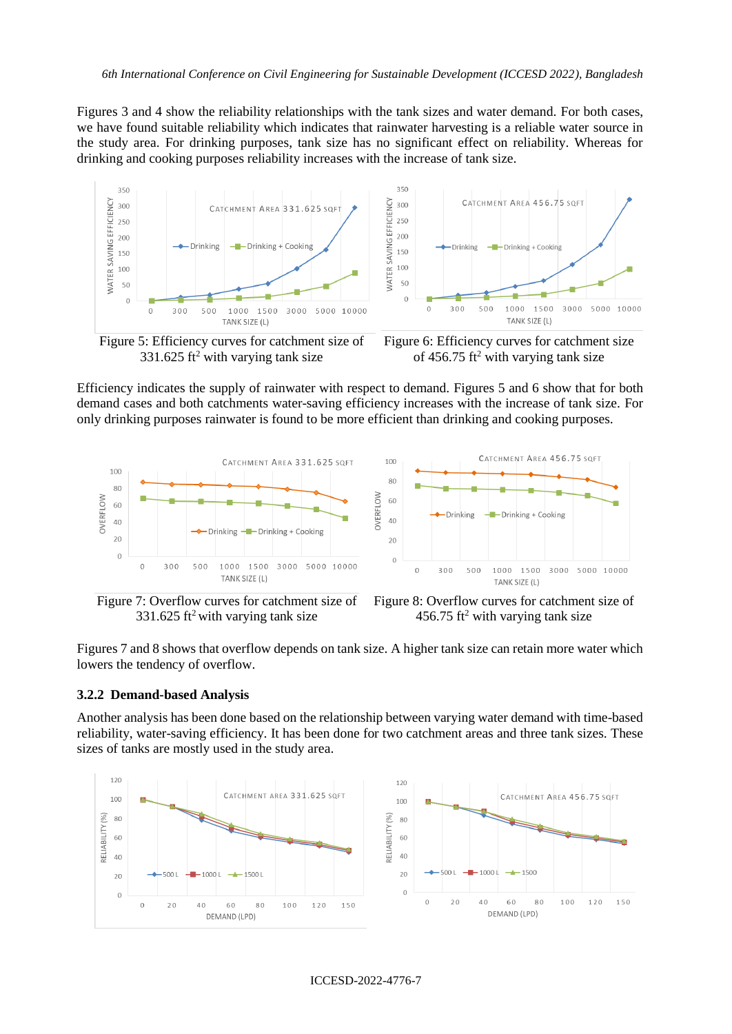Figures 3 and 4 show the reliability relationships with the tank sizes and water demand. For both cases, we have found suitable reliability which indicates that rainwater harvesting is a reliable water source in the study area. For drinking purposes, tank size has no significant effect on reliability. Whereas for drinking and cooking purposes reliability increases with the increase of tank size.



331.625 ft<sup>2</sup> with varying tank size

of  $456.75$  ft<sup>2</sup> with varying tank size

Efficiency indicates the supply of rainwater with respect to demand. Figures 5 and 6 show that for both demand cases and both catchments water-saving efficiency increases with the increase of tank size. For only drinking purposes rainwater is found to be more efficient than drinking and cooking purposes.



Figure 7: Overflow curves for catchment size of  $331.625$  ft<sup>2</sup> with varying tank size



Figure 8: Overflow curves for catchment size of 456.75 ft<sup>2</sup> with varying tank size

Figures 7 and 8 shows that overflow depends on tank size. A higher tank size can retain more water which lowers the tendency of overflow.

### **3.2.2 Demand-based Analysis**

Another analysis has been done based on the relationship between varying water demand with time-based reliability, water-saving efficiency. It has been done for two catchment areas and three tank sizes. These sizes of tanks are mostly used in the study area.

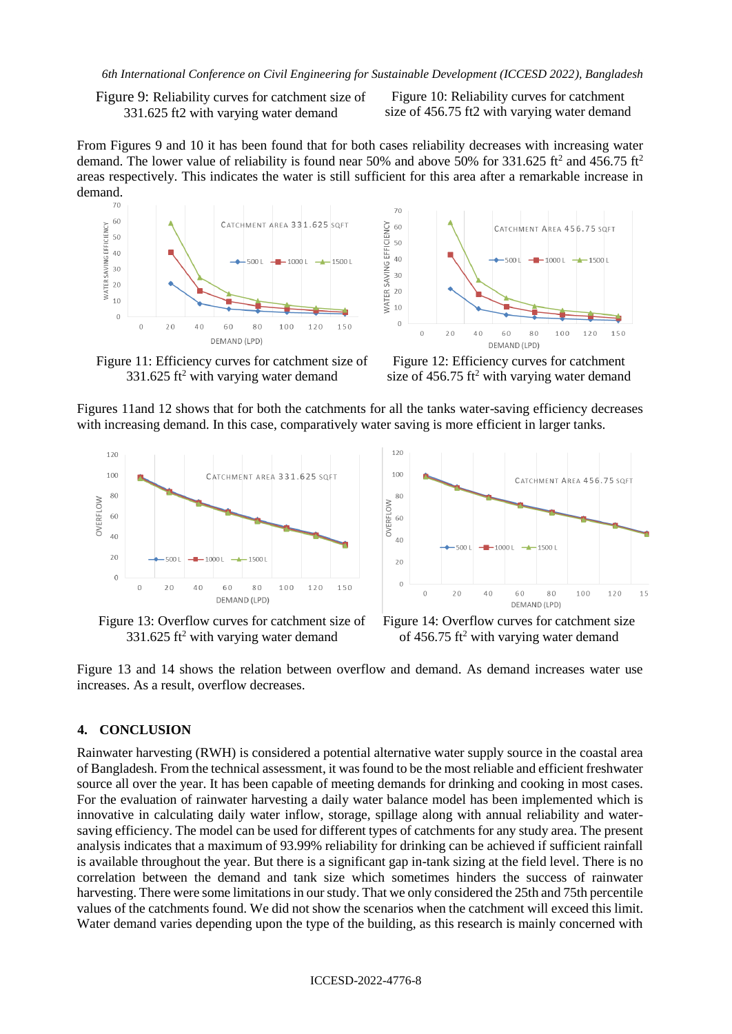Figure 9: Reliability curves for catchment size of 331.625 ft2 with varying water demand

Figure 10: Reliability curves for catchment size of 456.75 ft2 with varying water demand

From Figures 9 and 10 it has been found that for both cases reliability decreases with increasing water demand. The lower value of reliability is found near 50% and above 50% for 331.625 ft<sup>2</sup> and 456.75 ft<sup>2</sup> areas respectively. This indicates the water is still sufficient for this area after a remarkable increase in demand.

 $70$ 

60



SAVING EFFICIENCY 50 40  $-10001 - 15001$  $-5001$  $30$  $20$ WATER  $10$  $\Omega$  $\Omega$  $20$  $40$ 60  $80$  $100$  $120$  $150$ DEMAND (LPD)

CATCHMENT AREA 456.75 SQFT

Figure 11: Efficiency curves for catchment size of 331.625 ft<sup>2</sup> with varying water demand

Figure 12: Efficiency curves for catchment size of  $456.75$  ft<sup>2</sup> with varying water demand

Figures 11and 12 shows that for both the catchments for all the tanks water-saving efficiency decreases with increasing demand. In this case, comparatively water saving is more efficient in larger tanks.



Figure 13: Overflow curves for catchment size of 331.625 ft<sup>2</sup> with varying water demand



Figure 14: Overflow curves for catchment size of  $456.75$  ft<sup>2</sup> with varying water demand

Figure 13 and 14 shows the relation between overflow and demand. As demand increases water use increases. As a result, overflow decreases.

#### **4. CONCLUSION**

Rainwater harvesting (RWH) is considered a potential alternative water supply source in the coastal area of Bangladesh. From the technical assessment, it was found to be the most reliable and efficient freshwater source all over the year. It has been capable of meeting demands for drinking and cooking in most cases. For the evaluation of rainwater harvesting a daily water balance model has been implemented which is innovative in calculating daily water inflow, storage, spillage along with annual reliability and watersaving efficiency. The model can be used for different types of catchments for any study area. The present analysis indicates that a maximum of 93.99% reliability for drinking can be achieved if sufficient rainfall is available throughout the year. But there is a significant gap in-tank sizing at the field level. There is no correlation between the demand and tank size which sometimes hinders the success of rainwater harvesting. There were some limitations in our study. That we only considered the 25th and 75th percentile values of the catchments found. We did not show the scenarios when the catchment will exceed this limit. Water demand varies depending upon the type of the building, as this research is mainly concerned with